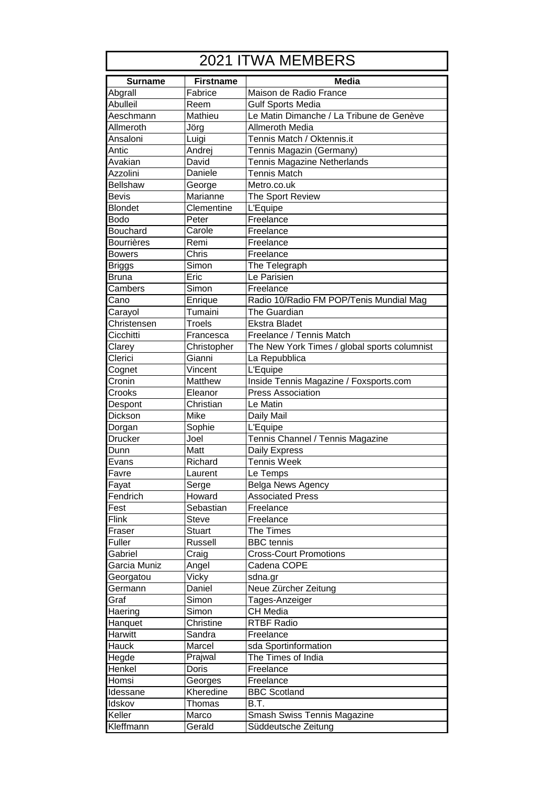| 2021 ITWA MEMBERS |                  |                                              |  |
|-------------------|------------------|----------------------------------------------|--|
| <b>Surname</b>    | <b>Firstname</b> | <b>Media</b>                                 |  |
| Abgrall           | Fabrice          | Maison de Radio France                       |  |
| <b>Abulleil</b>   | Reem             | <b>Gulf Sports Media</b>                     |  |
| Aeschmann         | Mathieu          | Le Matin Dimanche / La Tribune de Genève     |  |
| Allmeroth         | Jörg             | Allmeroth Media                              |  |
| Ansaloni          | Luigi            | Tennis Match / Oktennis.it                   |  |
| Antic             | Andrej           | Tennis Magazin (Germany)                     |  |
| Avakian           | David            | Tennis Magazine Netherlands                  |  |
| Azzolini          | Daniele          | <b>Tennis Match</b>                          |  |
| <b>Bellshaw</b>   | George           | Metro.co.uk                                  |  |
| <b>Bevis</b>      | Marianne         | The Sport Review                             |  |
| <b>Blondet</b>    | Clementine       | L'Equipe                                     |  |
| <b>Bodo</b>       | Peter            | Freelance                                    |  |
| <b>Bouchard</b>   | Carole           | Freelance                                    |  |
| <b>Bourrières</b> | Remi             | Freelance                                    |  |
| <b>Bowers</b>     | Chris            | Freelance                                    |  |
| Briggs            | Simon            | The Telegraph                                |  |
| Bruna             | Eric             | Le Parisien                                  |  |
| Cambers           | Simon            | Freelance                                    |  |
| Cano              | Enrique          | Radio 10/Radio FM POP/Tenis Mundial Mag      |  |
| Carayol           | Tumaini          | The Guardian                                 |  |
| Christensen       | Troels           | <b>Ekstra Bladet</b>                         |  |
| Cicchitti         | Francesca        | Freelance / Tennis Match                     |  |
| Clarey            | Christopher      | The New York Times / global sports columnist |  |
| Clerici           | Gianni           | La Repubblica                                |  |
| Cognet            | Vincent          | L'Equipe                                     |  |
| Cronin            | Matthew          | Inside Tennis Magazine / Foxsports.com       |  |
| Crooks            | Eleanor          | <b>Press Association</b>                     |  |
| Despont           | Christian        | Le Matin                                     |  |
| Dickson           | Mike             | Daily Mail                                   |  |
| Dorgan            | Sophie           | L'Equipe                                     |  |
| <b>Drucker</b>    | Joel             | Tennis Channel / Tennis Magazine             |  |
| Dunn              | Matt             | Daily Express                                |  |
| Evans             | Richard          | <b>Tennis Week</b>                           |  |
| Favre             | Laurent          | Le Temps                                     |  |
| Fayat             | Serge            | Belga News Agency                            |  |
| Fendrich          | Howard           | <b>Associated Press</b>                      |  |
| Fest              | Sebastian        | Freelance                                    |  |
| Flink             | <b>Steve</b>     | Freelance                                    |  |
| Fraser            | <b>Stuart</b>    | The Times                                    |  |
| Fuller            | Russell          | <b>BBC</b> tennis                            |  |
| Gabriel           | Craig            | <b>Cross-Court Promotions</b>                |  |
| Garcia Muniz      | Angel            | Cadena COPE                                  |  |
|                   | Vicky            | sdna.gr                                      |  |
| Georgatou         | Daniel           | Neue Zürcher Zeitung                         |  |
| Germann<br>Graf   |                  |                                              |  |
|                   | Simon            | Tages-Anzeiger<br><b>CH</b> Media            |  |
| Haering           | Simon            | <b>RTBF Radio</b>                            |  |
| Hanquet           | Christine        |                                              |  |
| Harwitt           | Sandra           | Freelance                                    |  |
| Hauck             | Marcel           | sda Sportinformation                         |  |
| Hegde             | Prajwal          | The Times of India                           |  |
| Henkel            | Doris            | Freelance                                    |  |
| Homsi             | Georges          | Freelance                                    |  |
| Idessane          | Kheredine        | <b>BBC</b> Scotland                          |  |
| Idskov            | Thomas           | B.T.                                         |  |
| Keller            | Marco            | Smash Swiss Tennis Magazine                  |  |
| Kleffmann         | Gerald           | Süddeutsche Zeitung                          |  |